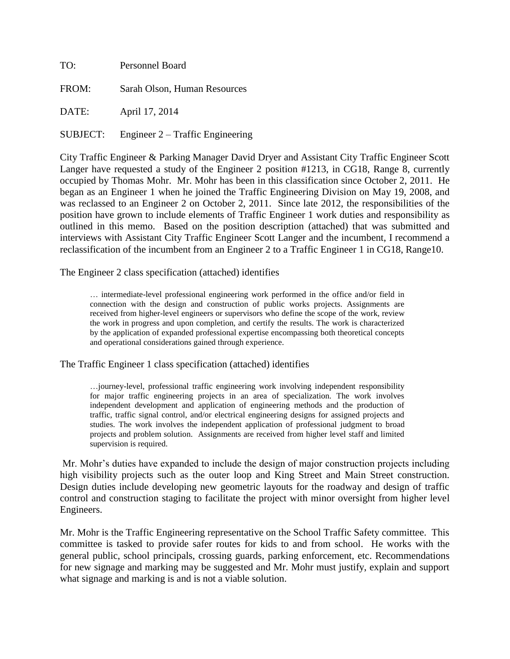| TO:      | Personnel Board                           |  |
|----------|-------------------------------------------|--|
| FROM:    | Sarah Olson, Human Resources              |  |
| DATE:    | April 17, 2014                            |  |
| SUBJECT: | Engineer $2 - \text{Traffic Engineering}$ |  |

City Traffic Engineer & Parking Manager David Dryer and Assistant City Traffic Engineer Scott Langer have requested a study of the Engineer 2 position #1213, in CG18, Range 8, currently occupied by Thomas Mohr. Mr. Mohr has been in this classification since October 2, 2011. He began as an Engineer 1 when he joined the Traffic Engineering Division on May 19, 2008, and was reclassed to an Engineer 2 on October 2, 2011. Since late 2012, the responsibilities of the position have grown to include elements of Traffic Engineer 1 work duties and responsibility as outlined in this memo. Based on the position description (attached) that was submitted and interviews with Assistant City Traffic Engineer Scott Langer and the incumbent, I recommend a reclassification of the incumbent from an Engineer 2 to a Traffic Engineer 1 in CG18, Range10.

The Engineer 2 class specification (attached) identifies

… intermediate-level professional engineering work performed in the office and/or field in connection with the design and construction of public works projects. Assignments are received from higher-level engineers or supervisors who define the scope of the work, review the work in progress and upon completion, and certify the results. The work is characterized by the application of expanded professional expertise encompassing both theoretical concepts and operational considerations gained through experience.

The Traffic Engineer 1 class specification (attached) identifies

…journey-level, professional traffic engineering work involving independent responsibility for major traffic engineering projects in an area of specialization. The work involves independent development and application of engineering methods and the production of traffic, traffic signal control, and/or electrical engineering designs for assigned projects and studies. The work involves the independent application of professional judgment to broad projects and problem solution. Assignments are received from higher level staff and limited supervision is required.

Mr. Mohr's duties have expanded to include the design of major construction projects including high visibility projects such as the outer loop and King Street and Main Street construction. Design duties include developing new geometric layouts for the roadway and design of traffic control and construction staging to facilitate the project with minor oversight from higher level Engineers.

Mr. Mohr is the Traffic Engineering representative on the School Traffic Safety committee. This committee is tasked to provide safer routes for kids to and from school. He works with the general public, school principals, crossing guards, parking enforcement, etc. Recommendations for new signage and marking may be suggested and Mr. Mohr must justify, explain and support what signage and marking is and is not a viable solution.